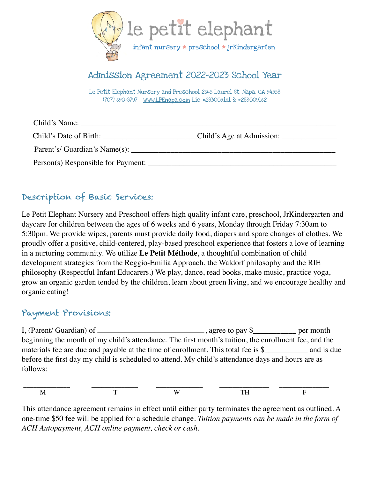

# Admission Agreement 2022-2023 School Year

Le Petit Elephant Nursery and Preschool 2645 Laurel St. Napa, CA 94558 (707) 690-8797 [www.LPEnapa.com](http://www.LPEnapa.com) Lic #283009161 & #283009162

| Child's Name:                      |                           |
|------------------------------------|---------------------------|
| Child's Date of Birth:             | Child's Age at Admission: |
| Parent's/ Guardian's Name(s):      |                           |
| Person(s) Responsible for Payment: |                           |

# Description of Basic Services:

Le Petit Elephant Nursery and Preschool offers high quality infant care, preschool, JrKindergarten and daycare for children between the ages of 6 weeks and 6 years, Monday through Friday 7:30am to 5:30pm. We provide wipes, parents must provide daily food, diapers and spare changes of clothes. We proudly offer a positive, child-centered, play-based preschool experience that fosters a love of learning in a nurturing community. We utilize **Le Petit Méthode**, a thoughtful combination of child development strategies from the Reggio-Emilia Approach, the Waldorf philosophy and the RIE philosophy (Respectful Infant Educarers.) We play, dance, read books, make music, practice yoga, grow an organic garden tended by the children, learn about green living, and we encourage healthy and organic eating!

#### Payment Provisions:

I, (Parent/ Guardian) of  $\frac{1}{\sqrt{2\pi}}$ , agree to pay \$ per month beginning the month of my child's attendance. The first month's tuition, the enrollment fee, and the materials fee are due and payable at the time of enrollment. This total fee is \$\_\_\_\_\_\_\_\_\_\_\_\_ and is due before the first day my child is scheduled to attend. My child's attendance days and hours are as follows:

|  | $-$ |  |
|--|-----|--|

This attendance agreement remains in effect until either party terminates the agreement as outlined. A one-time \$50 fee will be applied for a schedule change. *Tuition payments can be made in the form of ACH Autopayment, ACH online payment, check or cash.*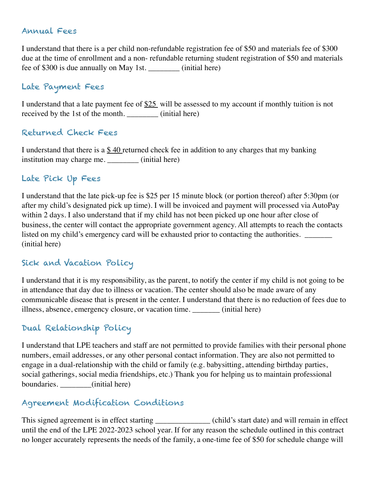#### Annual Fees

I understand that there is a per child non-refundable registration fee of \$50 and materials fee of \$300 due at the time of enrollment and a non- refundable returning student registration of \$50 and materials fee of \$300 is due annually on May 1st. \_\_\_\_\_\_\_\_ (initial here)

### Late Payment Fees

I understand that a late payment fee of \$25 will be assessed to my account if monthly tuition is not received by the 1st of the month. \_\_\_\_\_\_\_\_ (initial here)

#### Returned Check Fees

I understand that there is a  $$40$  returned check fee in addition to any charges that my banking institution may charge me. \_\_\_\_\_\_\_\_ (initial here)

#### Late Pick Up Fees

I understand that the late pick-up fee is \$25 per 15 minute block (or portion thereof) after 5:30pm (or after my child's designated pick up time). I will be invoiced and payment will processed via AutoPay within 2 days. I also understand that if my child has not been picked up one hour after close of business, the center will contact the appropriate government agency. All attempts to reach the contacts listed on my child's emergency card will be exhausted prior to contacting the authorities. (initial here)

#### Sick and Vacation Policy

I understand that it is my responsibility, as the parent, to notify the center if my child is not going to be in attendance that day due to illness or vacation. The center should also be made aware of any communicable disease that is present in the center. I understand that there is no reduction of fees due to illness, absence, emergency closure, or vacation time. \_\_\_\_\_\_\_ (initial here)

## Dual Relationship Policy

I understand that LPE teachers and staff are not permitted to provide families with their personal phone numbers, email addresses, or any other personal contact information. They are also not permitted to engage in a dual-relationship with the child or family (e.g. babysitting, attending birthday parties, social gatherings, social media friendships, etc.) Thank you for helping us to maintain professional boundaries. \_\_\_\_\_\_\_\_(initial here)

## Agreement Modification Conditions

This signed agreement is in effect starting \_\_\_\_\_\_\_\_\_\_\_\_\_\_ (child's start date) and will remain in effect until the end of the LPE 2022-2023 school year. If for any reason the schedule outlined in this contract no longer accurately represents the needs of the family, a one-time fee of \$50 for schedule change will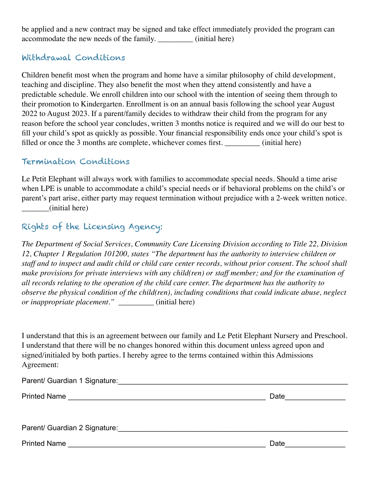be applied and a new contract may be signed and take effect immediately provided the program can accommodate the new needs of the family. \_\_\_\_\_\_\_\_\_ (initial here)

#### Withdrawal Conditions

Children benefit most when the program and home have a similar philosophy of child development, teaching and discipline. They also benefit the most when they attend consistently and have a predictable schedule. We enroll children into our school with the intention of seeing them through to their promotion to Kindergarten. Enrollment is on an annual basis following the school year August 2022 to August 2023. If a parent/family decides to withdraw their child from the program for any reason before the school year concludes, written 3 months notice is required and we will do our best to fill your child's spot as quickly as possible. Your financial responsibility ends once your child's spot is filled or once the 3 months are complete, whichever comes first.  $\qquad (initial here)$ 

#### Termination Conditions

Le Petit Elephant will always work with families to accommodate special needs. Should a time arise when LPE is unable to accommodate a child's special needs or if behavioral problems on the child's or parent's part arise, either party may request termination without prejudice with a 2-week written notice. \_\_\_\_\_\_\_(initial here)

# Rights of the Licensing Agency:

*The Department of Social Services, Community Care Licensing Division according to Title 22, Division 12, Chapter 1 Regulation 101200, states "The department has the authority to interview children or staff and to inspect and audit child or child care center records, without prior consent. The school shall make provisions for private interviews with any child(ren) or staff member; and for the examination of all records relating to the operation of the child care center. The department has the authority to observe the physical condition of the child(ren), including conditions that could indicate abuse, neglect or inappropriate placement." \_\_\_\_\_\_\_\_\_* (initial here)

I understand that this is an agreement between our family and Le Petit Elephant Nursery and Preschool. I understand that there will be no changes honored within this document unless agreed upon and signed/initialed by both parties. I hereby agree to the terms contained within this Admissions Agreement:

| Parent/ Guardian 1 Signature: Cambridge Contract Contract Contract Contract Contract Contract Contract Contract Contract Contract Contract Contract Contract Contract Contract Contract Contract Contract Contract Contract Co |      |
|--------------------------------------------------------------------------------------------------------------------------------------------------------------------------------------------------------------------------------|------|
| <b>Printed Name</b>                                                                                                                                                                                                            | Date |
| Parent/ Guardian 2 Signature: Note and the set of the set of the set of the set of the set of the set of the set of the set of the set of the set of the set of the set of the set of the set of the set of the set of the set |      |
| <b>Printed Name</b>                                                                                                                                                                                                            | Date |